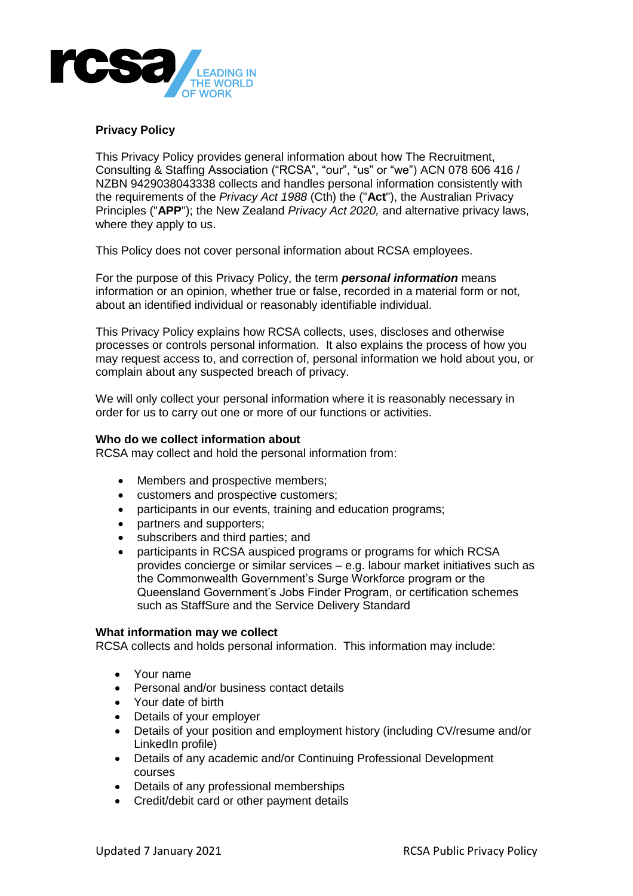

# **Privacy Policy**

This Privacy Policy provides general information about how The Recruitment, Consulting & Staffing Association ("RCSA", "our", "us" or "we") ACN 078 606 416 / NZBN 9429038043338 collects and handles personal information consistently with the requirements of the *Privacy Act 1988* (Cth) the ("**Act**"), the Australian Privacy Principles ("**APP**"); the New Zealand *Privacy Act 2020,* and alternative privacy laws, where they apply to us.

This Policy does not cover personal information about RCSA employees.

For the purpose of this Privacy Policy, the term *personal information* means information or an opinion, whether true or false, recorded in a material form or not, about an identified individual or reasonably identifiable individual.

This Privacy Policy explains how RCSA collects, uses, discloses and otherwise processes or controls personal information. It also explains the process of how you may request access to, and correction of, personal information we hold about you, or complain about any suspected breach of privacy.

We will only collect your personal information where it is reasonably necessary in order for us to carry out one or more of our functions or activities.

## **Who do we collect information about**

RCSA may collect and hold the personal information from:

- Members and prospective members;
- customers and prospective customers;
- participants in our events, training and education programs;
- partners and supporters;
- subscribers and third parties; and
- participants in RCSA auspiced programs or programs for which RCSA provides concierge or similar services – e.g. labour market initiatives such as the Commonwealth Government's Surge Workforce program or the Queensland Government's Jobs Finder Program, or certification schemes such as StaffSure and the Service Delivery Standard

#### **What information may we collect**

RCSA collects and holds personal information. This information may include:

- Your name
- Personal and/or business contact details
- Your date of birth
- Details of your employer
- Details of your position and employment history (including CV/resume and/or LinkedIn profile)
- Details of any academic and/or Continuing Professional Development courses
- Details of any professional memberships
- Credit/debit card or other payment details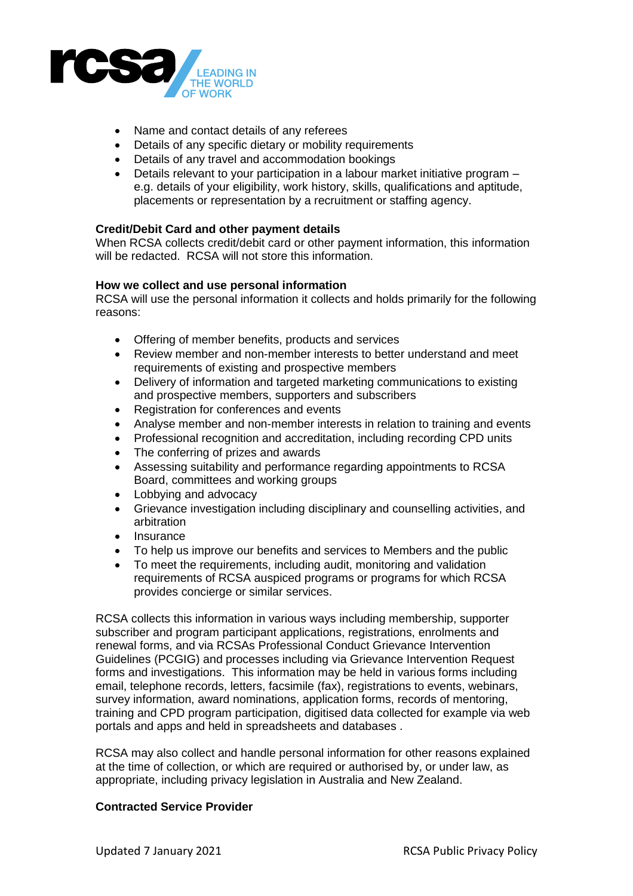

- Name and contact details of any referees
- Details of any specific dietary or mobility requirements
- Details of any travel and accommodation bookings
- Details relevant to your participation in a labour market initiative program e.g. details of your eligibility, work history, skills, qualifications and aptitude, placements or representation by a recruitment or staffing agency.

# **Credit/Debit Card and other payment details**

When RCSA collects credit/debit card or other payment information, this information will be redacted. RCSA will not store this information.

## **How we collect and use personal information**

RCSA will use the personal information it collects and holds primarily for the following reasons:

- Offering of member benefits, products and services
- Review member and non-member interests to better understand and meet requirements of existing and prospective members
- Delivery of information and targeted marketing communications to existing and prospective members, supporters and subscribers
- Registration for conferences and events
- Analyse member and non-member interests in relation to training and events
- Professional recognition and accreditation, including recording CPD units
- The conferring of prizes and awards
- Assessing suitability and performance regarding appointments to RCSA Board, committees and working groups
- Lobbying and advocacy
- Grievance investigation including disciplinary and counselling activities, and arbitration
- $\bullet$  Insurance
- To help us improve our benefits and services to Members and the public
- To meet the requirements, including audit, monitoring and validation requirements of RCSA auspiced programs or programs for which RCSA provides concierge or similar services.

RCSA collects this information in various ways including membership, supporter subscriber and program participant applications, registrations, enrolments and renewal forms, and via RCSAs Professional Conduct Grievance Intervention Guidelines (PCGIG) and processes including via Grievance Intervention Request forms and investigations. This information may be held in various forms including email, telephone records, letters, facsimile (fax), registrations to events, webinars, survey information, award nominations, application forms, records of mentoring, training and CPD program participation, digitised data collected for example via web portals and apps and held in spreadsheets and databases .

RCSA may also collect and handle personal information for other reasons explained at the time of collection, or which are required or authorised by, or under law, as appropriate, including privacy legislation in Australia and New Zealand.

#### **Contracted Service Provider**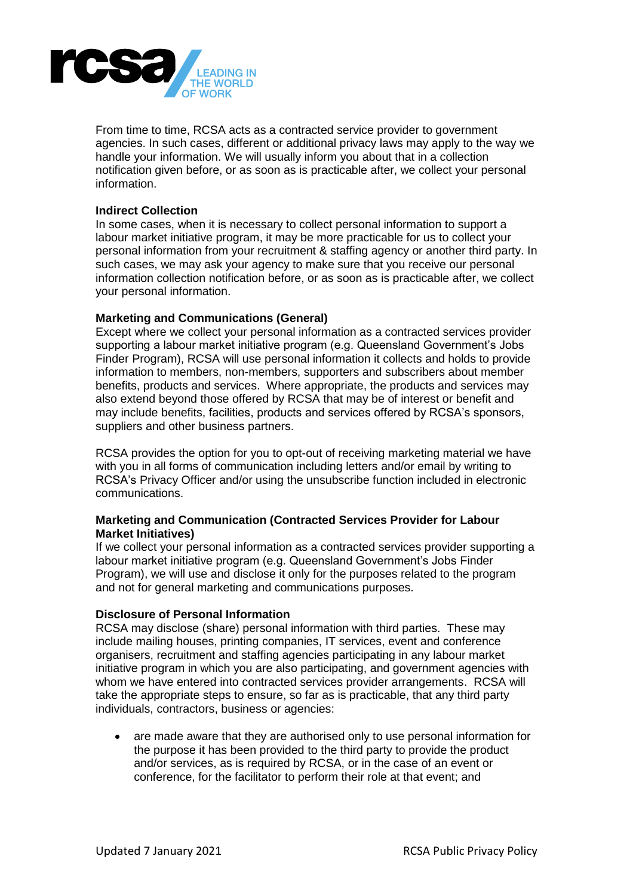

From time to time, RCSA acts as a contracted service provider to government agencies. In such cases, different or additional privacy laws may apply to the way we handle your information. We will usually inform you about that in a collection notification given before, or as soon as is practicable after, we collect your personal information.

### **Indirect Collection**

In some cases, when it is necessary to collect personal information to support a labour market initiative program, it may be more practicable for us to collect your personal information from your recruitment & staffing agency or another third party. In such cases, we may ask your agency to make sure that you receive our personal information collection notification before, or as soon as is practicable after, we collect your personal information.

## **Marketing and Communications (General)**

Except where we collect your personal information as a contracted services provider supporting a labour market initiative program (e.g. Queensland Government's Jobs Finder Program), RCSA will use personal information it collects and holds to provide information to members, non-members, supporters and subscribers about member benefits, products and services. Where appropriate, the products and services may also extend beyond those offered by RCSA that may be of interest or benefit and may include benefits, facilities, products and services offered by RCSA's sponsors, suppliers and other business partners.

RCSA provides the option for you to opt-out of receiving marketing material we have with you in all forms of communication including letters and/or email by writing to RCSA's Privacy Officer and/or using the unsubscribe function included in electronic communications.

## **Marketing and Communication (Contracted Services Provider for Labour Market Initiatives)**

If we collect your personal information as a contracted services provider supporting a labour market initiative program (e.g. Queensland Government's Jobs Finder Program), we will use and disclose it only for the purposes related to the program and not for general marketing and communications purposes.

#### **Disclosure of Personal Information**

RCSA may disclose (share) personal information with third parties. These may include mailing houses, printing companies, IT services, event and conference organisers, recruitment and staffing agencies participating in any labour market initiative program in which you are also participating, and government agencies with whom we have entered into contracted services provider arrangements. RCSA will take the appropriate steps to ensure, so far as is practicable, that any third party individuals, contractors, business or agencies:

 are made aware that they are authorised only to use personal information for the purpose it has been provided to the third party to provide the product and/or services, as is required by RCSA, or in the case of an event or conference, for the facilitator to perform their role at that event; and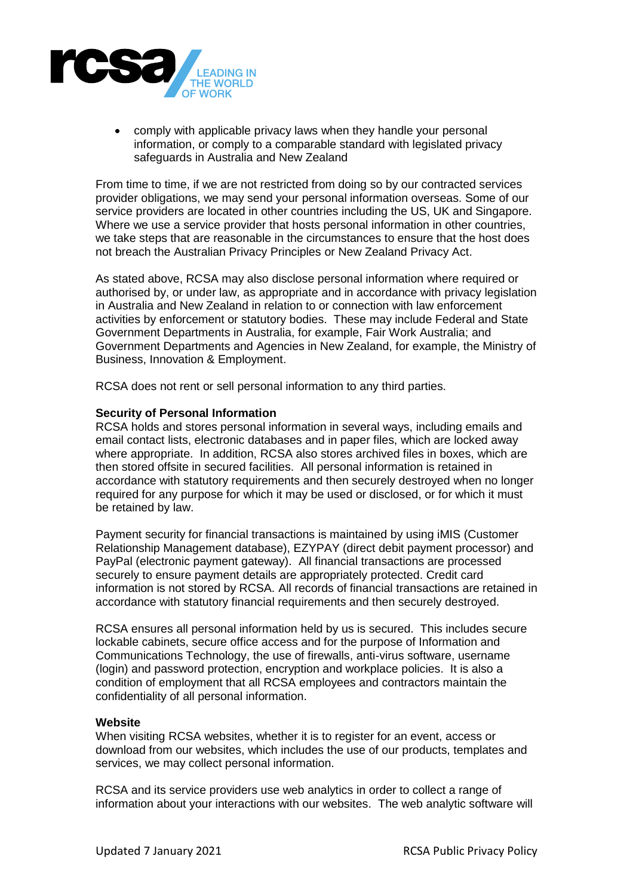

 comply with applicable privacy laws when they handle your personal information, or comply to a comparable standard with legislated privacy safeguards in Australia and New Zealand

From time to time, if we are not restricted from doing so by our contracted services provider obligations, we may send your personal information overseas. Some of our service providers are located in other countries including the US, UK and Singapore. Where we use a service provider that hosts personal information in other countries, we take steps that are reasonable in the circumstances to ensure that the host does not breach the Australian Privacy Principles or New Zealand Privacy Act.

As stated above, RCSA may also disclose personal information where required or authorised by, or under law, as appropriate and in accordance with privacy legislation in Australia and New Zealand in relation to or connection with law enforcement activities by enforcement or statutory bodies. These may include Federal and State Government Departments in Australia, for example, Fair Work Australia; and Government Departments and Agencies in New Zealand, for example, the Ministry of Business, Innovation & Employment.

RCSA does not rent or sell personal information to any third parties.

#### **Security of Personal Information**

RCSA holds and stores personal information in several ways, including emails and email contact lists, electronic databases and in paper files, which are locked away where appropriate. In addition, RCSA also stores archived files in boxes, which are then stored offsite in secured facilities. All personal information is retained in accordance with statutory requirements and then securely destroyed when no longer required for any purpose for which it may be used or disclosed, or for which it must be retained by law.

Payment security for financial transactions is maintained by using iMIS (Customer Relationship Management database), EZYPAY (direct debit payment processor) and PayPal (electronic payment gateway). All financial transactions are processed securely to ensure payment details are appropriately protected. Credit card information is not stored by RCSA. All records of financial transactions are retained in accordance with statutory financial requirements and then securely destroyed.

RCSA ensures all personal information held by us is secured. This includes secure lockable cabinets, secure office access and for the purpose of Information and Communications Technology, the use of firewalls, anti-virus software, username (login) and password protection, encryption and workplace policies. It is also a condition of employment that all RCSA employees and contractors maintain the confidentiality of all personal information.

#### **Website**

When visiting RCSA websites, whether it is to register for an event, access or download from our websites, which includes the use of our products, templates and services, we may collect personal information.

RCSA and its service providers use web analytics in order to collect a range of information about your interactions with our websites. The web analytic software will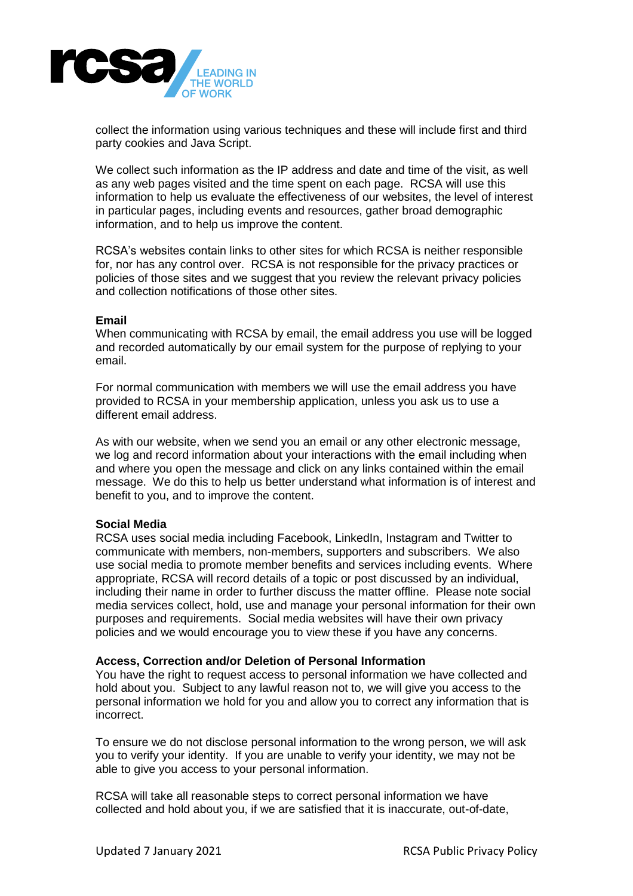

collect the information using various techniques and these will include first and third party cookies and Java Script.

We collect such information as the IP address and date and time of the visit, as well as any web pages visited and the time spent on each page. RCSA will use this information to help us evaluate the effectiveness of our websites, the level of interest in particular pages, including events and resources, gather broad demographic information, and to help us improve the content.

RCSA's websites contain links to other sites for which RCSA is neither responsible for, nor has any control over. RCSA is not responsible for the privacy practices or policies of those sites and we suggest that you review the relevant privacy policies and collection notifications of those other sites.

#### **Email**

When communicating with RCSA by email, the email address you use will be logged and recorded automatically by our email system for the purpose of replying to your email.

For normal communication with members we will use the email address you have provided to RCSA in your membership application, unless you ask us to use a different email address.

As with our website, when we send you an email or any other electronic message, we log and record information about your interactions with the email including when and where you open the message and click on any links contained within the email message. We do this to help us better understand what information is of interest and benefit to you, and to improve the content.

#### **Social Media**

RCSA uses social media including Facebook, LinkedIn, Instagram and Twitter to communicate with members, non-members, supporters and subscribers. We also use social media to promote member benefits and services including events. Where appropriate, RCSA will record details of a topic or post discussed by an individual, including their name in order to further discuss the matter offline. Please note social media services collect, hold, use and manage your personal information for their own purposes and requirements. Social media websites will have their own privacy policies and we would encourage you to view these if you have any concerns.

#### **Access, Correction and/or Deletion of Personal Information**

You have the right to request access to personal information we have collected and hold about you. Subject to any lawful reason not to, we will give you access to the personal information we hold for you and allow you to correct any information that is incorrect.

To ensure we do not disclose personal information to the wrong person, we will ask you to verify your identity. If you are unable to verify your identity, we may not be able to give you access to your personal information.

RCSA will take all reasonable steps to correct personal information we have collected and hold about you, if we are satisfied that it is inaccurate, out-of-date,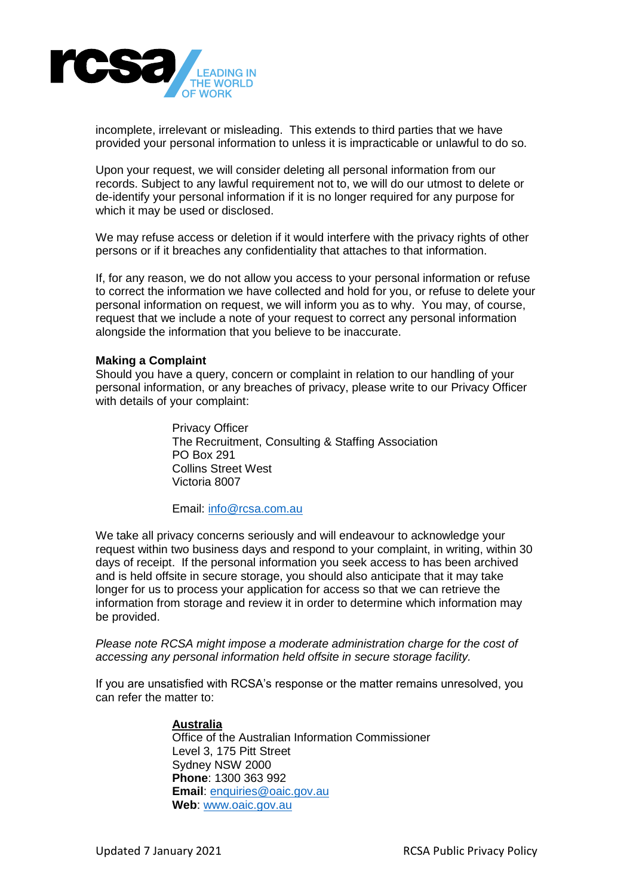

incomplete, irrelevant or misleading. This extends to third parties that we have provided your personal information to unless it is impracticable or unlawful to do so.

Upon your request, we will consider deleting all personal information from our records. Subject to any lawful requirement not to, we will do our utmost to delete or de-identify your personal information if it is no longer required for any purpose for which it may be used or disclosed.

We may refuse access or deletion if it would interfere with the privacy rights of other persons or if it breaches any confidentiality that attaches to that information.

If, for any reason, we do not allow you access to your personal information or refuse to correct the information we have collected and hold for you, or refuse to delete your personal information on request, we will inform you as to why. You may, of course, request that we include a note of your request to correct any personal information alongside the information that you believe to be inaccurate.

#### **Making a Complaint**

Should you have a query, concern or complaint in relation to our handling of your personal information, or any breaches of privacy, please write to our Privacy Officer with details of your complaint:

> Privacy Officer The Recruitment, Consulting & Staffing Association PO Box 291 Collins Street West Victoria 8007

Email: [info@rcsa.com.au](mailto:info@rcsa.com.au)

We take all privacy concerns seriously and will endeavour to acknowledge your request within two business days and respond to your complaint, in writing, within 30 days of receipt. If the personal information you seek access to has been archived and is held offsite in secure storage, you should also anticipate that it may take longer for us to process your application for access so that we can retrieve the information from storage and review it in order to determine which information may be provided.

*Please note RCSA might impose a moderate administration charge for the cost of accessing any personal information held offsite in secure storage facility.*

If you are unsatisfied with RCSA's response or the matter remains unresolved, you can refer the matter to:

#### **Australia**

Office of the Australian Information Commissioner Level 3, 175 Pitt Street Sydney NSW 2000 **Phone**: 1300 363 992 **Email**: [enquiries@oaic.gov.au](mailto:enquiries@oaic.gov.au) **Web**: [www.oaic.gov.au](http://www.oaic.gov.au/)